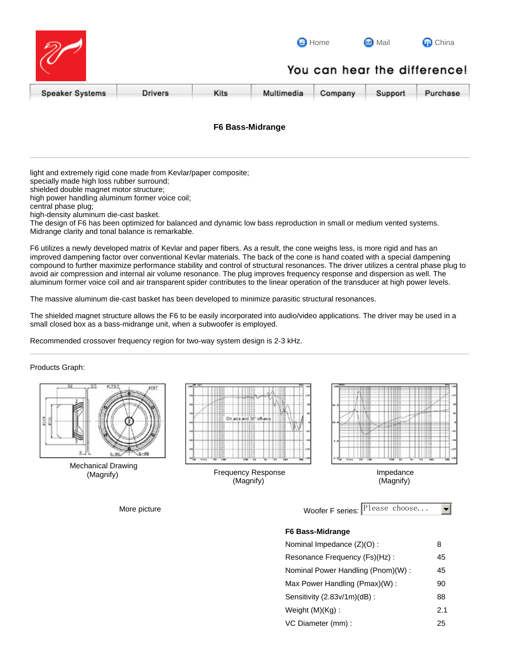| <b>B</b> Home | <b>Mail</b> | <b>G</b> China<br>You can hear the difference! |
|---------------|-------------|------------------------------------------------|
|               |             |                                                |

| <b>Speaker Systems</b> | <b>Drivers</b> | Kits | Multimedia Company |  | Support | Purchase |
|------------------------|----------------|------|--------------------|--|---------|----------|
|------------------------|----------------|------|--------------------|--|---------|----------|

## **F6 Bass-Midrange**

light and extremely rigid cone made from Kevlar/paper composite; specially made high loss rubber surround; shielded double magnet motor structure; high power handling aluminum former voice coil; central phase plug; high-density aluminum die-cast basket. The design of F6 has been optimized for balanced and dynamic low bass reproduction in small or medium vented systems.

Midrange clarity and tonal balance is remarkable.

F6 utilizes a newly developed matrix of Kevlar and paper fibers. As a result, the cone weighs less, is more rigid and has an improved dampening factor over conventional Kevlar materials. The back of the cone is hand coated with a special dampening compound to further maximize performance stability and control of structural resonances. The driver utilizes a central phase plug to avoid air compression and internal air volume resonance. The plug improves frequency response and dispersion as well. The aluminum former voice coil and air transparent spider contributes to the linear operation of the transducer at high power levels.

The massive aluminum die-cast basket has been developed to minimize parasitic structural resonances.

The shielded magnet structure allows the F6 to be easily incorporated into audio/video applications. The driver may be used in a small closed box as a bass-midrange unit, when a subwoofer is employed.

Recommended crossover frequency region for two-way system design is 2-3 kHz.

Products Graph:



Mechanical Drawing



(Magnify) Frequency Response (Magnify)



Impedance (Magnify)

More picture **More picture** Woofer F series:  $\boxed{\text{Please choose} \dots}$  $\left| \cdot \right|$ 

## **F6 Bass-Midrange**

| Nominal Impedance $(Z)(O)$ :      | 8  |
|-----------------------------------|----|
| Resonance Frequency (Fs)(Hz):     | 45 |
| Nominal Power Handling (Pnom)(W): | 45 |
| Max Power Handling (Pmax)(W):     | 90 |
| Sensitivity (2.83v/1m)(dB):       | 88 |
| Weight $(M)(Ka)$ :                | 21 |
| VC Diameter (mm) :                | 25 |